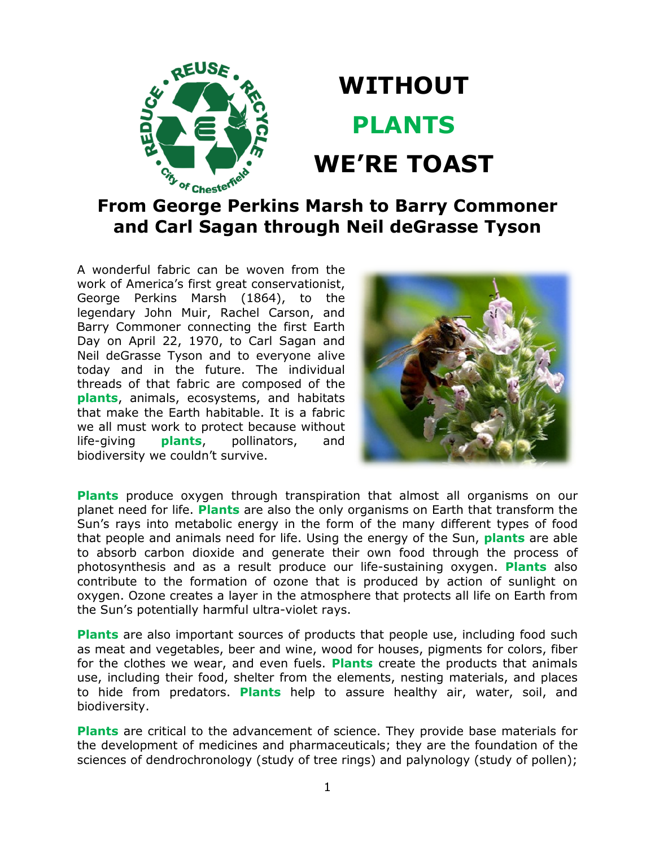

## **WITHOUT PLANTS WE'RE TOAST**

## **From George Perkins Marsh to Barry Commoner and Carl Sagan through Neil deGrasse Tyson**

A wonderful fabric can be woven from the work of America's first great conservationist, George Perkins Marsh (1864), to the legendary John Muir, Rachel Carson, and Barry Commoner connecting the first Earth Day on April 22, 1970, to Carl Sagan and Neil deGrasse Tyson and to everyone alive today and in the future. The individual threads of that fabric are composed of the **plants**, animals, ecosystems, and habitats that make the Earth habitable. It is a fabric we all must work to protect because without life-giving **plants**, pollinators, and biodiversity we couldn't survive.



**Plants** produce oxygen through transpiration that almost all organisms on our planet need for life. **Plants** are also the only organisms on Earth that transform the Sun's rays into metabolic energy in the form of the many different types of food that people and animals need for life. Using the energy of the Sun, **plants** are able to absorb carbon dioxide and generate their own food through the process of photosynthesis and as a result produce our life-sustaining oxygen. **Plants** also contribute to the formation of ozone that is produced by action of sunlight on oxygen. Ozone creates a layer in the atmosphere that protects all life on Earth from the Sun's potentially harmful ultra-violet rays.

**Plants** are also important sources of products that people use, including food such as meat and vegetables, beer and wine, wood for houses, pigments for colors, fiber for the clothes we wear, and even fuels. **Plants** create the products that animals use, including their food, shelter from the elements, nesting materials, and places to hide from predators. **Plants** help to assure healthy air, water, soil, and biodiversity.

**Plants** are critical to the advancement of science. They provide base materials for the development of medicines and pharmaceuticals; they are the foundation of the sciences of dendrochronology (study of tree rings) and palynology (study of pollen);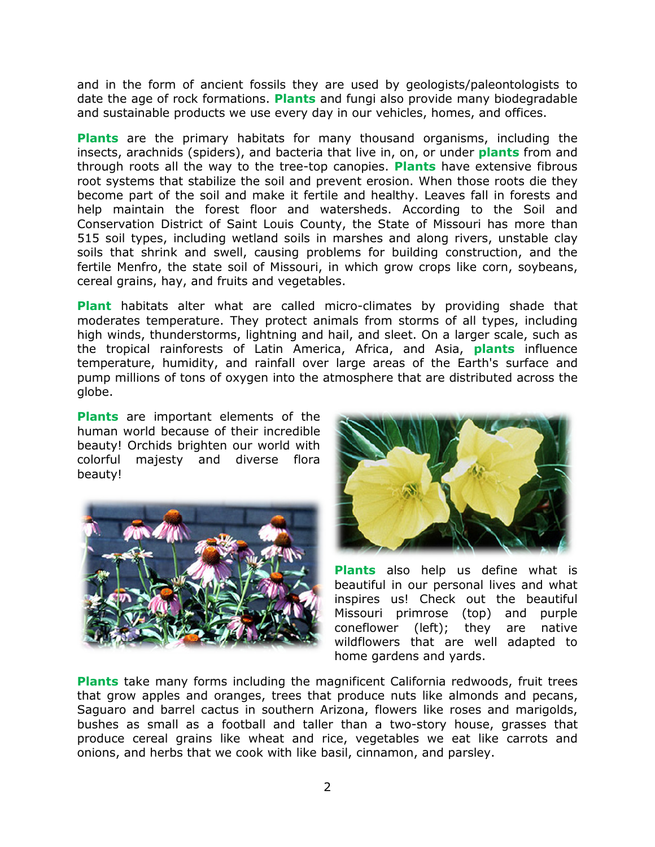and in the form of ancient fossils they are used by geologists/paleontologists to date the age of rock formations. **Plants** and fungi also provide many biodegradable and sustainable products we use every day in our vehicles, homes, and offices.

**Plants** are the primary habitats for many thousand organisms, including the insects, arachnids (spiders), and bacteria that live in, on, or under **plants** from and through roots all the way to the tree-top canopies. **Plants** have extensive fibrous root systems that stabilize the soil and prevent erosion. When those roots die they become part of the soil and make it fertile and healthy. Leaves fall in forests and help maintain the forest floor and watersheds. According to the Soil and Conservation District of Saint Louis County, the State of Missouri has more than 515 soil types, including wetland soils in marshes and along rivers, unstable clay soils that shrink and swell, causing problems for building construction, and the fertile Menfro, the state soil of Missouri, in which grow crops like corn, soybeans, cereal grains, hay, and fruits and vegetables.

**Plant** habitats alter what are called micro-climates by providing shade that moderates temperature. They protect animals from storms of all types, including high winds, thunderstorms, lightning and hail, and sleet. On a larger scale, such as the tropical rainforests of Latin America, Africa, and Asia, **plants** influence temperature, humidity, and rainfall over large areas of the Earth's surface and pump millions of tons of oxygen into the atmosphere that are distributed across the globe.

**Plants** are important elements of the human world because of their incredible beauty! Orchids brighten our world with colorful majesty and diverse flora beauty!





**Plants** also help us define what is beautiful in our personal lives and what inspires us! Check out the beautiful Missouri primrose (top) and purple coneflower (left); they are native wildflowers that are well adapted to home gardens and yards.

**Plants** take many forms including the magnificent California redwoods, fruit trees that grow apples and oranges, trees that produce nuts like almonds and pecans, Saguaro and barrel cactus in southern Arizona, flowers like roses and marigolds, bushes as small as a football and taller than a two-story house, grasses that produce cereal grains like wheat and rice, vegetables we eat like carrots and onions, and herbs that we cook with like basil, cinnamon, and parsley.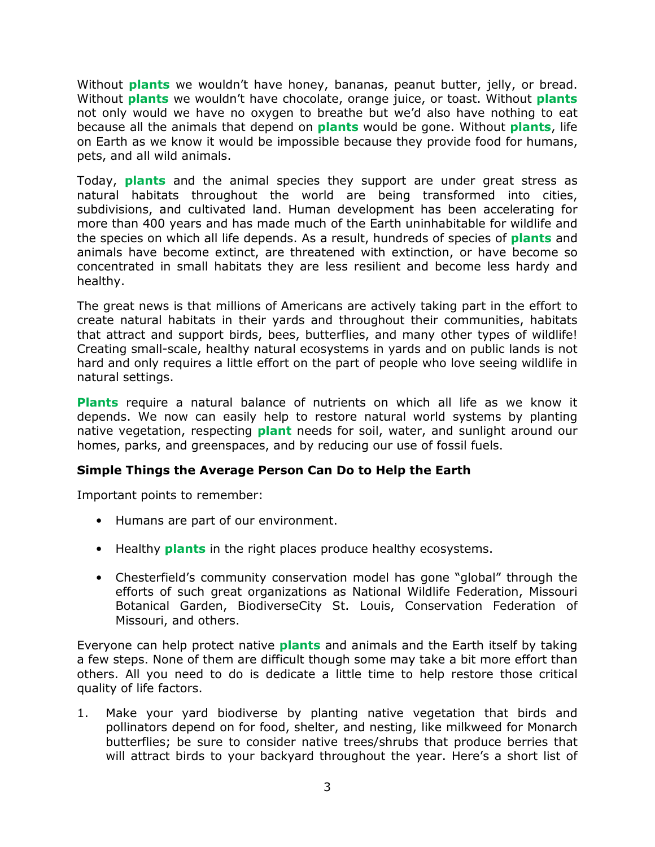Without **plants** we wouldn't have honey, bananas, peanut butter, jelly, or bread. Without **plants** we wouldn't have chocolate, orange juice, or toast. Without **plants** not only would we have no oxygen to breathe but we'd also have nothing to eat because all the animals that depend on **plants** would be gone. Without **plants**, life on Earth as we know it would be impossible because they provide food for humans, pets, and all wild animals.

Today, **plants** and the animal species they support are under great stress as natural habitats throughout the world are being transformed into cities, subdivisions, and cultivated land. Human development has been accelerating for more than 400 years and has made much of the Earth uninhabitable for wildlife and the species on which all life depends. As a result, hundreds of species of **plants** and animals have become extinct, are threatened with extinction, or have become so concentrated in small habitats they are less resilient and become less hardy and healthy.

The great news is that millions of Americans are actively taking part in the effort to create natural habitats in their yards and throughout their communities, habitats that attract and support birds, bees, butterflies, and many other types of wildlife! Creating small-scale, healthy natural ecosystems in yards and on public lands is not hard and only requires a little effort on the part of people who love seeing wildlife in natural settings.

**Plants** require a natural balance of nutrients on which all life as we know it depends. We now can easily help to restore natural world systems by planting native vegetation, respecting **plant** needs for soil, water, and sunlight around our homes, parks, and greenspaces, and by reducing our use of fossil fuels.

## **Simple Things the Average Person Can Do to Help the Earth**

Important points to remember:

- Humans are part of our environment.
- Healthy **plants** in the right places produce healthy ecosystems.
- Chesterfield's community conservation model has gone "global" through the efforts of such great organizations as National Wildlife Federation, Missouri Botanical Garden, BiodiverseCity St. Louis, Conservation Federation of Missouri, and others.

Everyone can help protect native **plants** and animals and the Earth itself by taking a few steps. None of them are difficult though some may take a bit more effort than others. All you need to do is dedicate a little time to help restore those critical quality of life factors.

1. Make your yard biodiverse by planting native vegetation that birds and pollinators depend on for food, shelter, and nesting, like milkweed for Monarch butterflies; be sure to consider native trees/shrubs that produce berries that will attract birds to your backyard throughout the year. Here's a short list of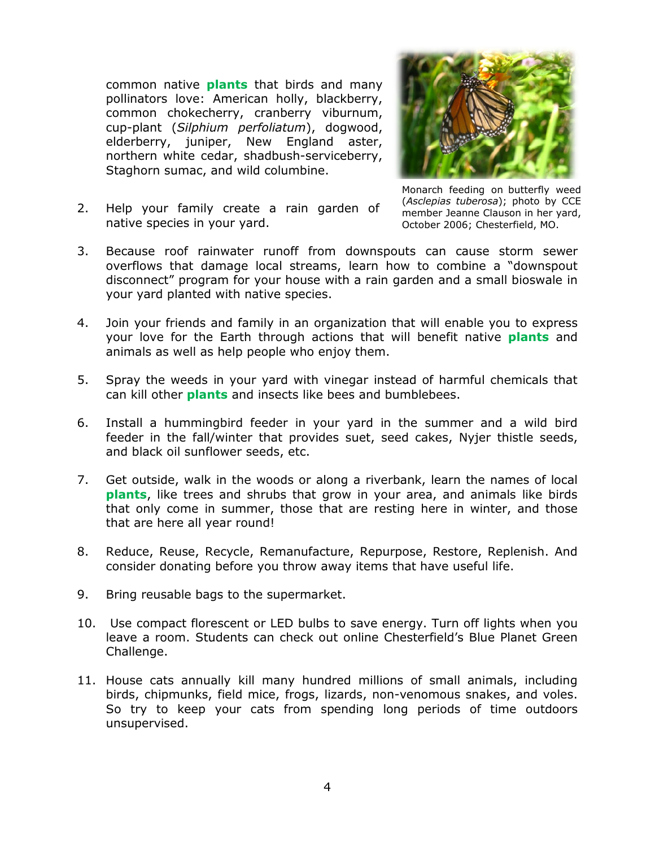common native **plants** that birds and many pollinators love: American holly, blackberry, common chokecherry, cranberry viburnum, cup-plant (*Silphium perfoliatum*), dogwood, elderberry, juniper, New England aster, northern white cedar, shadbush-serviceberry, Staghorn sumac, and wild columbine.



2. Help your family create a rain garden of native species in your yard.

Monarch feeding on butterfly weed (*Asclepias tuberosa*); photo by CCE member Jeanne Clauson in her yard, October 2006; Chesterfield, MO.

- 3. Because roof rainwater runoff from downspouts can cause storm sewer overflows that damage local streams, learn how to combine a "downspout disconnect" program for your house with a rain garden and a small bioswale in your yard planted with native species.
- 4. Join your friends and family in an organization that will enable you to express your love for the Earth through actions that will benefit native **plants** and animals as well as help people who enjoy them.
- 5. Spray the weeds in your yard with vinegar instead of harmful chemicals that can kill other **plants** and insects like bees and bumblebees.
- 6. Install a hummingbird feeder in your yard in the summer and a wild bird feeder in the fall/winter that provides suet, seed cakes, Nyjer thistle seeds, and black oil sunflower seeds, etc.
- 7. Get outside, walk in the woods or along a riverbank, learn the names of local **plants**, like trees and shrubs that grow in your area, and animals like birds that only come in summer, those that are resting here in winter, and those that are here all year round!
- 8. Reduce, Reuse, Recycle, Remanufacture, Repurpose, Restore, Replenish. And consider donating before you throw away items that have useful life.
- 9. Bring reusable bags to the supermarket.
- 10. Use compact florescent or LED bulbs to save energy. Turn off lights when you leave a room. Students can check out online Chesterfield's Blue Planet Green Challenge.
- 11. House cats annually kill many hundred millions of small animals, including birds, chipmunks, field mice, frogs, lizards, non-venomous snakes, and voles. So try to keep your cats from spending long periods of time outdoors unsupervised.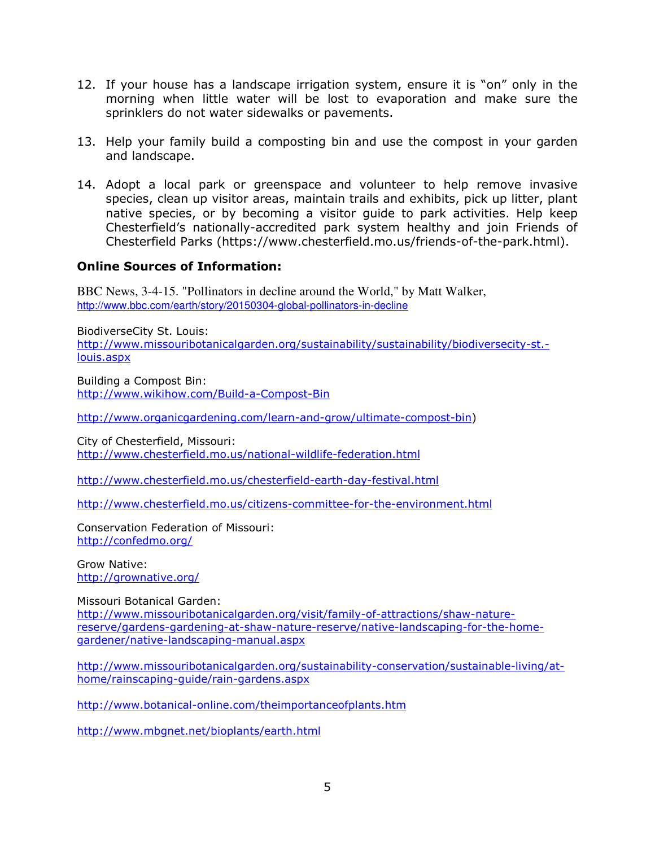- 12. If your house has a landscape irrigation system, ensure it is "on" only in the morning when little water will be lost to evaporation and make sure the sprinklers do not water sidewalks or pavements.
- 13. Help your family build a composting bin and use the compost in your garden and landscape.
- 14. Adopt a local park or greenspace and volunteer to help remove invasive species, clean up visitor areas, maintain trails and exhibits, pick up litter, plant native species, or by becoming a visitor guide to park activities. Help keep Chesterfield's nationally-accredited park system healthy and join Friends of Chesterfield Parks (https://www.chesterfield.mo.us/friends-of-the-park.html).

## **Online Sources of Information:**

BBC News, 3-4-15. "Pollinators in decline around the World," by Matt Walker, http://www.bbc.com/earth/story/20150304-global-pollinators-in-decline

BiodiverseCity St. Louis: http://www.missouribotanicalgarden.org/sustainability/sustainability/biodiversecity-st. louis.aspx

Building a Compost Bin: http://www.wikihow.com/Build-a-Compost-Bin

http://www.organicgardening.com/learn-and-grow/ultimate-compost-bin)

City of Chesterfield, Missouri: http://www.chesterfield.mo.us/national-wildlife-federation.html

http://www.chesterfield.mo.us/chesterfield-earth-day-festival.html

http://www.chesterfield.mo.us/citizens-committee-for-the-environment.html

Conservation Federation of Missouri: http://confedmo.org/

Grow Native: http://grownative.org/

Missouri Botanical Garden:

http://www.missouribotanicalgarden.org/visit/family-of-attractions/shaw-naturereserve/gardens-gardening-at-shaw-nature-reserve/native-landscaping-for-the-homegardener/native-landscaping-manual.aspx

http://www.missouribotanicalgarden.org/sustainability-conservation/sustainable-living/athome/rainscaping-guide/rain-gardens.aspx

http://www.botanical-online.com/theimportanceofplants.htm

http://www.mbgnet.net/bioplants/earth.html